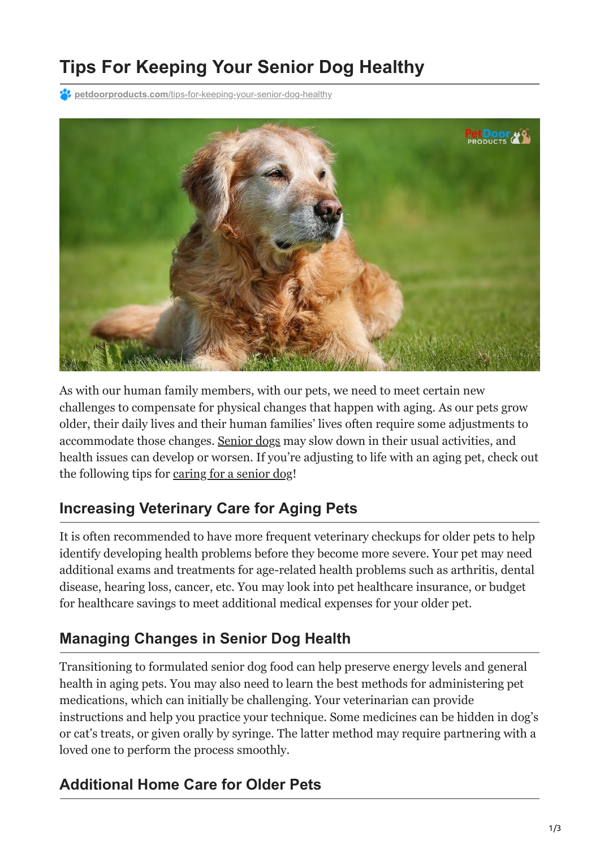# **Tips For Keeping Your Senior Dog Healthy**

**<sup>2</sup> petdoorproducts.com**[/tips-for-keeping-your-senior-dog-healthy](https://petdoorproducts.com/tips-for-keeping-your-senior-dog-healthy/)



As with our human family members, with our pets, we need to meet certain new challenges to compensate for physical changes that happen with aging. As our pets grow older, their daily lives and their human families' lives often require some adjustments to accommodate those changes. [Senior dogs](https://petdoorproducts.com/6-ways-to-exercise-your-dogs-mind/) may slow down in their usual activities, and health issues can develop or worsen. If you're adjusting to life with an aging pet, check out the following tips for [caring for a senior dog](https://petdoorproducts.com/how-to-ensure-pet-safety-convenience-for-cold-weather/)!

### **Increasing Veterinary Care for Aging Pets**

It is often recommended to have more frequent veterinary checkups for older pets to help identify developing health problems before they become more severe. Your pet may need additional exams and treatments for age-related health problems such as arthritis, dental disease, hearing loss, cancer, etc. You may look into pet healthcare insurance, or budget for healthcare savings to meet additional medical expenses for your older pet.

#### **Managing Changes in Senior Dog Health**

Transitioning to formulated senior dog food can help preserve energy levels and general health in aging pets. You may also need to learn the best methods for administering pet medications, which can initially be challenging. Your veterinarian can provide instructions and help you practice your technique. Some medicines can be hidden in dog's or cat's treats, or given orally by syringe. The latter method may require partnering with a loved one to perform the process smoothly.

#### **Additional Home Care for Older Pets**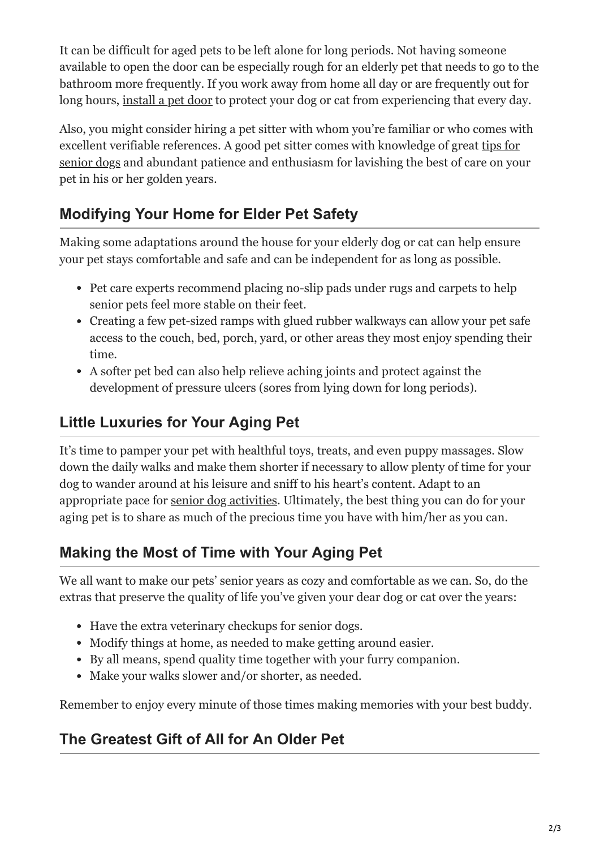It can be difficult for aged pets to be left alone for long periods. Not having someone available to open the door can be especially rough for an elderly pet that needs to go to the bathroom more frequently. If you work away from home all day or are frequently out for long hours, [install a pet door](https://petdoorproducts.com/find-a-dealer/) to protect your dog or cat from experiencing that every day.

Also, you might consider hiring a pet sitter with whom you're familiar or who comes with [excellent verifiable references. A good pet sitter comes with knowledge of great tips for](https://petdoorproducts.com/guide-to-dog-body-language-what-is-your-dog-trying-to-say/) senior dogs and abundant patience and enthusiasm for lavishing the best of care on your pet in his or her golden years.

# **Modifying Your Home for Elder Pet Safety**

Making some adaptations around the house for your elderly dog or cat can help ensure your pet stays comfortable and safe and can be independent for as long as possible.

- Pet care experts recommend placing no-slip pads under rugs and carpets to help senior pets feel more stable on their feet.
- Creating a few pet-sized ramps with glued rubber walkways can allow your pet safe access to the couch, bed, porch, yard, or other areas they most enjoy spending their time.
- A softer pet bed can also help relieve aching joints and protect against the development of pressure ulcers (sores from lying down for long periods).

# **Little Luxuries for Your Aging Pet**

It's time to pamper your pet with healthful toys, treats, and even puppy massages. Slow down the daily walks and make them shorter if necessary to allow plenty of time for your dog to wander around at his leisure and sniff to his heart's content. Adapt to an appropriate pace for [senior dog activities](https://petdoorproducts.com/the-4-most-important-tips-for-walking-your-dog/). Ultimately, the best thing you can do for your aging pet is to share as much of the precious time you have with him/her as you can.

### **Making the Most of Time with Your Aging Pet**

We all want to make our pets' senior years as cozy and comfortable as we can. So, do the extras that preserve the quality of life you've given your dear dog or cat over the years:

- Have the extra veterinary checkups for senior dogs.
- Modify things at home, as needed to make getting around easier.
- By all means, spend quality time together with your furry companion.
- Make your walks slower and/or shorter, as needed.

Remember to enjoy every minute of those times making memories with your best buddy.

### **The Greatest Gift of All for An Older Pet**